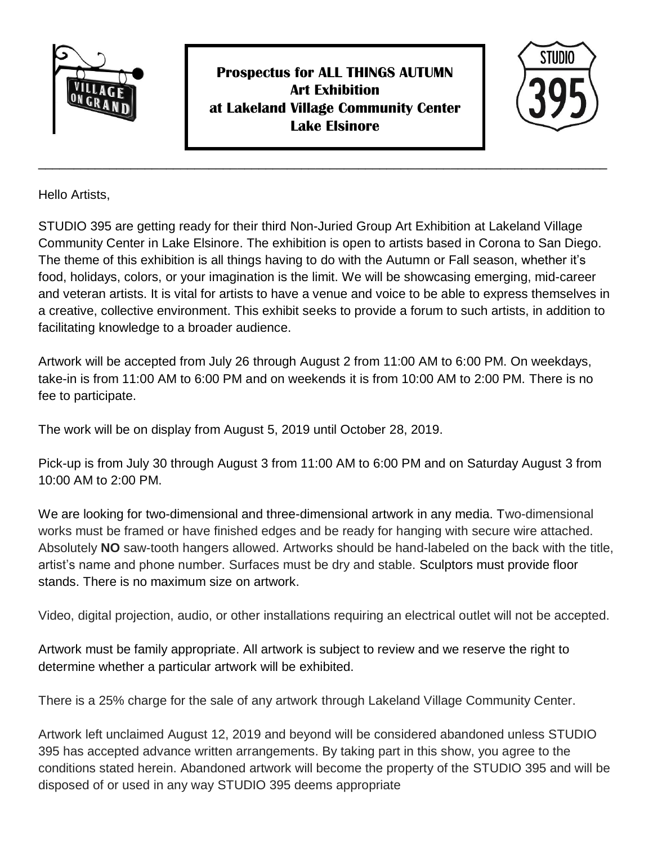

**Prospectus for ALL THINGS AUTUMN Art Exhibition at Lakeland Village Community Center Lake Elsinore**



Hello Artists,

STUDIO 395 are getting ready for their third Non-Juried Group Art Exhibition at Lakeland Village Community Center in Lake Elsinore. The exhibition is open to artists based in Corona to San Diego. The theme of this exhibition is all things having to do with the Autumn or Fall season, whether it's food, holidays, colors, or your imagination is the limit. We will be showcasing emerging, mid-career and veteran artists. It is vital for artists to have a venue and voice to be able to express themselves in a creative, collective environment. This exhibit seeks to provide a forum to such artists, in addition to facilitating knowledge to a broader audience.

\_\_\_\_\_\_\_\_\_\_\_\_\_\_\_\_\_\_\_\_\_\_\_\_\_\_\_\_\_\_\_\_\_\_\_\_\_\_\_\_\_\_\_\_\_\_\_\_\_\_\_\_\_\_\_\_\_\_\_\_\_\_\_\_\_\_\_\_\_\_\_\_\_\_\_\_\_\_\_\_

Artwork will be accepted from July 26 through August 2 from 11:00 AM to 6:00 PM. On weekdays, take-in is from 11:00 AM to 6:00 PM and on weekends it is from 10:00 AM to 2:00 PM. There is no fee to participate.

The work will be on display from August 5, 2019 until October 28, 2019.

Pick-up is from July 30 through August 3 from 11:00 AM to 6:00 PM and on Saturday August 3 from 10:00 AM to 2:00 PM.

We are looking for two-dimensional and three-dimensional artwork in any media. Two-dimensional works must be framed or have finished edges and be ready for hanging with secure wire attached. Absolutely **NO** saw-tooth hangers allowed. Artworks should be hand-labeled on the back with the title, artist's name and phone number. Surfaces must be dry and stable. Sculptors must provide floor stands. There is no maximum size on artwork.

Video, digital projection, audio, or other installations requiring an electrical outlet will not be accepted.

Artwork must be family appropriate. All artwork is subject to review and we reserve the right to determine whether a particular artwork will be exhibited.

There is a 25% charge for the sale of any artwork through Lakeland Village Community Center.

Artwork left unclaimed August 12, 2019 and beyond will be considered abandoned unless STUDIO 395 has accepted advance written arrangements. By taking part in this show, you agree to the conditions stated herein. Abandoned artwork will become the property of the STUDIO 395 and will be disposed of or used in any way STUDIO 395 deems appropriate